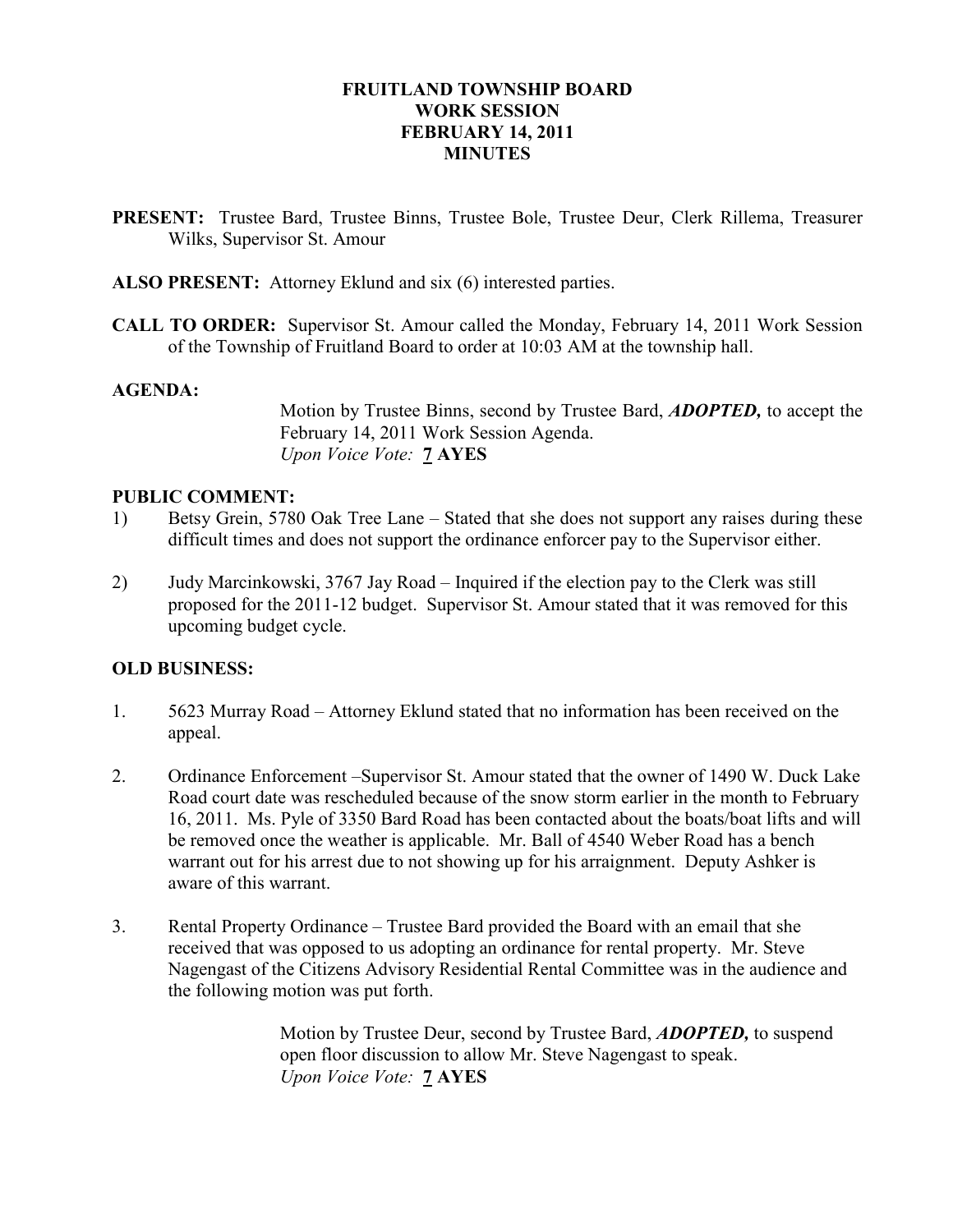## FRUITLAND TOWNSHIP BOARD WORK SESSION FEBRUARY 14, 2011 **MINUTES**

- PRESENT: Trustee Bard, Trustee Binns, Trustee Bole, Trustee Deur, Clerk Rillema, Treasurer Wilks, Supervisor St. Amour
- ALSO PRESENT: Attorney Eklund and six (6) interested parties.
- CALL TO ORDER: Supervisor St. Amour called the Monday, February 14, 2011 Work Session of the Township of Fruitland Board to order at 10:03 AM at the township hall.

#### AGENDA:

Motion by Trustee Binns, second by Trustee Bard, ADOPTED, to accept the February 14, 2011 Work Session Agenda. Upon Voice Vote: 7 AYES

## PUBLIC COMMENT:

- 1) Betsy Grein, 5780 Oak Tree Lane Stated that she does not support any raises during these difficult times and does not support the ordinance enforcer pay to the Supervisor either.
- 2) Judy Marcinkowski, 3767 Jay Road Inquired if the election pay to the Clerk was still proposed for the 2011-12 budget. Supervisor St. Amour stated that it was removed for this upcoming budget cycle.

# OLD BUSINESS:

- 1. 5623 Murray Road Attorney Eklund stated that no information has been received on the appeal.
- 2. Ordinance Enforcement –Supervisor St. Amour stated that the owner of 1490 W. Duck Lake Road court date was rescheduled because of the snow storm earlier in the month to February 16, 2011. Ms. Pyle of 3350 Bard Road has been contacted about the boats/boat lifts and will be removed once the weather is applicable. Mr. Ball of 4540 Weber Road has a bench warrant out for his arrest due to not showing up for his arraignment. Deputy Ashker is aware of this warrant.
- 3. Rental Property Ordinance Trustee Bard provided the Board with an email that she received that was opposed to us adopting an ordinance for rental property. Mr. Steve Nagengast of the Citizens Advisory Residential Rental Committee was in the audience and the following motion was put forth.

Motion by Trustee Deur, second by Trustee Bard, **ADOPTED**, to suspend open floor discussion to allow Mr. Steve Nagengast to speak. Upon Voice Vote: **7 AYES**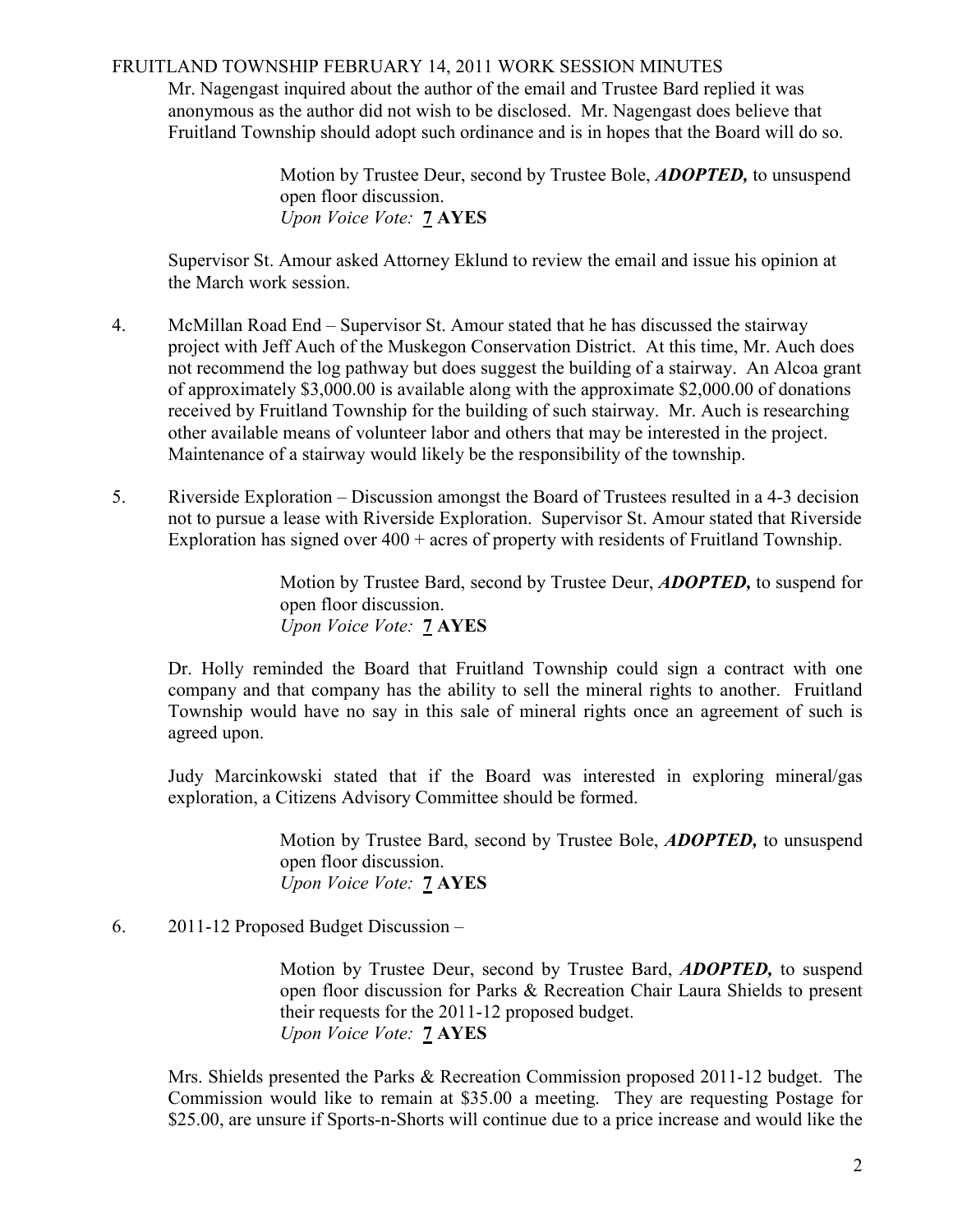### FRUITLAND TOWNSHIP FEBRUARY 14, 2011 WORK SESSION MINUTES

Mr. Nagengast inquired about the author of the email and Trustee Bard replied it was anonymous as the author did not wish to be disclosed. Mr. Nagengast does believe that Fruitland Township should adopt such ordinance and is in hopes that the Board will do so.

> Motion by Trustee Deur, second by Trustee Bole, ADOPTED, to unsuspend open floor discussion. Upon Voice Vote: 7 AYES

Supervisor St. Amour asked Attorney Eklund to review the email and issue his opinion at the March work session.

- 4. McMillan Road End Supervisor St. Amour stated that he has discussed the stairway project with Jeff Auch of the Muskegon Conservation District. At this time, Mr. Auch does not recommend the log pathway but does suggest the building of a stairway. An Alcoa grant of approximately \$3,000.00 is available along with the approximate \$2,000.00 of donations received by Fruitland Township for the building of such stairway. Mr. Auch is researching other available means of volunteer labor and others that may be interested in the project. Maintenance of a stairway would likely be the responsibility of the township.
- 5. Riverside Exploration Discussion amongst the Board of Trustees resulted in a 4-3 decision not to pursue a lease with Riverside Exploration. Supervisor St. Amour stated that Riverside Exploration has signed over 400 + acres of property with residents of Fruitland Township.

Motion by Trustee Bard, second by Trustee Deur, ADOPTED, to suspend for open floor discussion. Upon Voice Vote: 7 AYES

Dr. Holly reminded the Board that Fruitland Township could sign a contract with one company and that company has the ability to sell the mineral rights to another. Fruitland Township would have no say in this sale of mineral rights once an agreement of such is agreed upon.

Judy Marcinkowski stated that if the Board was interested in exploring mineral/gas exploration, a Citizens Advisory Committee should be formed.

> Motion by Trustee Bard, second by Trustee Bole, ADOPTED, to unsuspend open floor discussion. Upon Voice Vote: 7 AYES

6. 2011-12 Proposed Budget Discussion –

Motion by Trustee Deur, second by Trustee Bard, ADOPTED, to suspend open floor discussion for Parks & Recreation Chair Laura Shields to present their requests for the 2011-12 proposed budget. Upon Voice Vote: **7 AYES** 

Mrs. Shields presented the Parks & Recreation Commission proposed 2011-12 budget. The Commission would like to remain at \$35.00 a meeting. They are requesting Postage for \$25.00, are unsure if Sports-n-Shorts will continue due to a price increase and would like the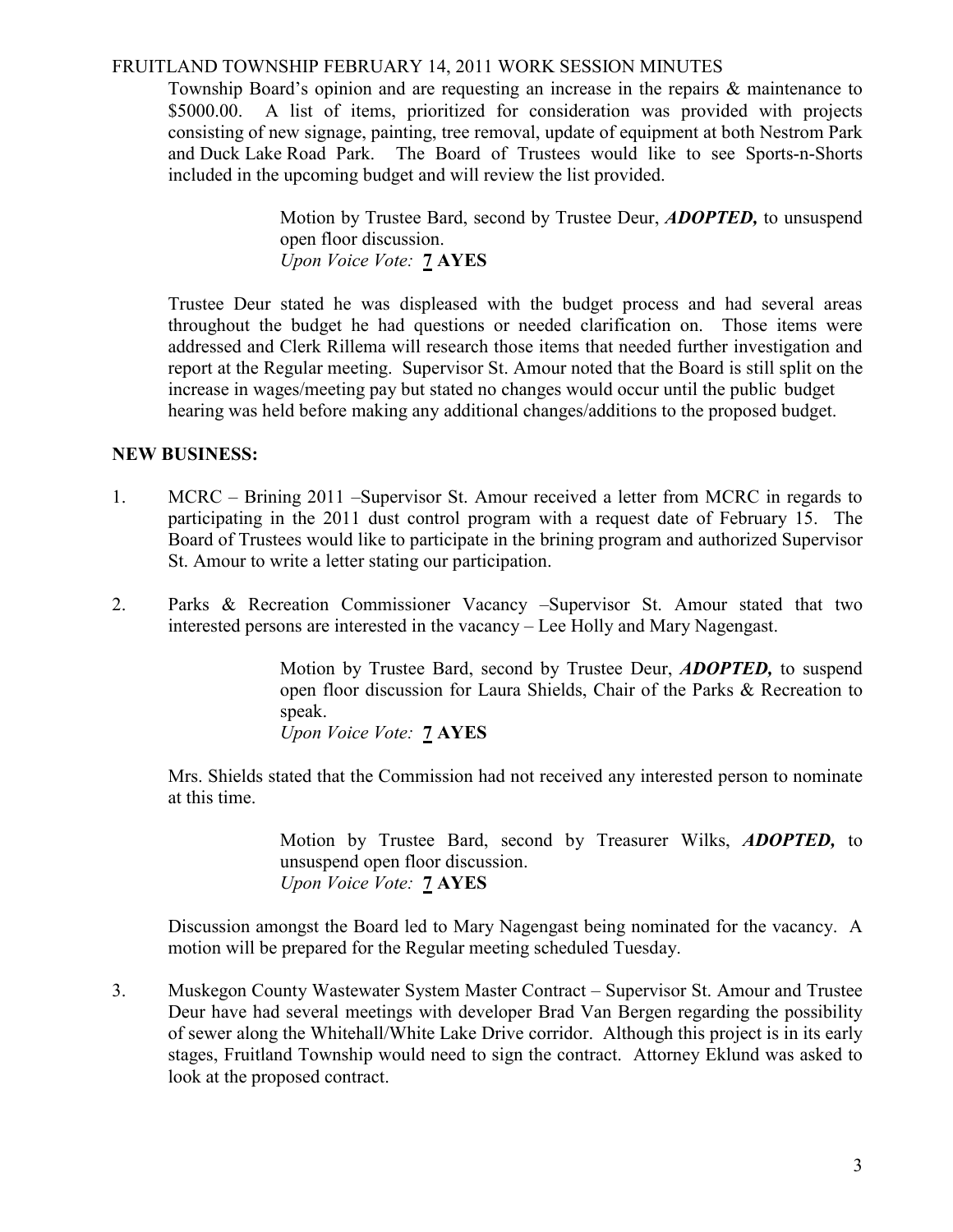## FRUITLAND TOWNSHIP FEBRUARY 14, 2011 WORK SESSION MINUTES

Township Board's opinion and are requesting an increase in the repairs & maintenance to \$5000.00. A list of items, prioritized for consideration was provided with projects consisting of new signage, painting, tree removal, update of equipment at both Nestrom Park and Duck Lake Road Park. The Board of Trustees would like to see Sports-n-Shorts included in the upcoming budget and will review the list provided.

> Motion by Trustee Bard, second by Trustee Deur, ADOPTED, to unsuspend open floor discussion. Upon Voice Vote: 7 AYES

Trustee Deur stated he was displeased with the budget process and had several areas throughout the budget he had questions or needed clarification on. Those items were addressed and Clerk Rillema will research those items that needed further investigation and report at the Regular meeting. Supervisor St. Amour noted that the Board is still split on the increase in wages/meeting pay but stated no changes would occur until the public budget hearing was held before making any additional changes/additions to the proposed budget.

## NEW BUSINESS:

- 1. MCRC Brining 2011 –Supervisor St. Amour received a letter from MCRC in regards to participating in the 2011 dust control program with a request date of February 15. The Board of Trustees would like to participate in the brining program and authorized Supervisor St. Amour to write a letter stating our participation.
- 2. Parks & Recreation Commissioner Vacancy –Supervisor St. Amour stated that two interested persons are interested in the vacancy – Lee Holly and Mary Nagengast.

Motion by Trustee Bard, second by Trustee Deur, **ADOPTED**, to suspend open floor discussion for Laura Shields, Chair of the Parks & Recreation to speak.

Upon Voice Vote: 7 AYES

 Mrs. Shields stated that the Commission had not received any interested person to nominate at this time.

> Motion by Trustee Bard, second by Treasurer Wilks, **ADOPTED**, to unsuspend open floor discussion. Upon Voice Vote: 7 AYES

Discussion amongst the Board led to Mary Nagengast being nominated for the vacancy. A motion will be prepared for the Regular meeting scheduled Tuesday.

3. Muskegon County Wastewater System Master Contract – Supervisor St. Amour and Trustee Deur have had several meetings with developer Brad Van Bergen regarding the possibility of sewer along the Whitehall/White Lake Drive corridor. Although this project is in its early stages, Fruitland Township would need to sign the contract. Attorney Eklund was asked to look at the proposed contract.